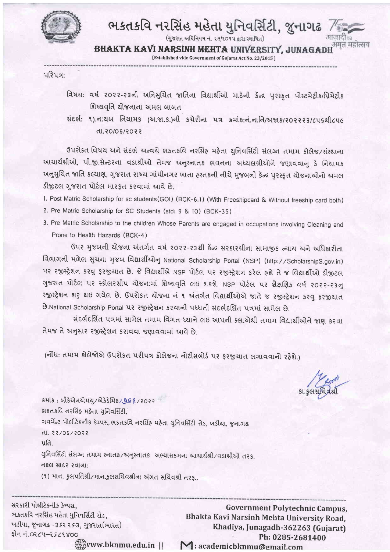

## ભકતકવિ નરસિંહ મહેતા યુનિવર્સિટી, જુનાગઢ

(गुण्टात अधिनियम नं. २३/२०१५ द्वारा स्थापित)

BHAKTA KAVI NARSINH MEHTA UNIVERSITY, JUNAGA

[Established vide Government of Gujarat Act No. 23/2015]

પરિપત્ર:

- વિષય: વર્ષ ૨૦૨૨-૨૩ની અનિસુચિત જાતિના વિદ્યાર્થીઓ માટેની કેન્દ્ર પુરસ્કૃત પોસ્ટમેટ્રીક/પ્રિમેટ્રીક શિષ્યવૃતિ ચોજનાના અમલ બાબત
- સંદર્ભ: ૧).નાયબ નિયામક (અ.જા.ક.)ની કચેરીના પત્ર કમાંક:નં.નાનિ/અજાક/૨૦૨૨૨3/૮૫૬થી૮૫૯ s 50/2/20/05.1h

ઉપરોક્ત વિષય અને સંદર્ભ અન્વયે ભકતકવિ નરસિંહ મહેતા યુનિવર્સિટી સંલગ્ન તમામ કોલેજ/સંસ્થાના આચાર્યશ્રીઓ, પી.જી.સેન્ટરના વડાશ્રીઓ તેમજ અનુસ્નાતક ભવનના અધ્યક્ષશ્રીઓને જણાવવાનુ કે નિયામક અનુસુચિત જાતિ કલ્યાણ, ગુજરાત રાજ્ય ગાંધીનગર ખાતા હસ્તકની નીચે મુજબની કેન્દ્ર પુરસ્કૃત યોજનાઓનો અમલ ડીજીટલ ગુજરાત પોર્ટલ મારફત કરવામાં આવે છે.

1. Post Matric Scholarship for sc students(GOI) (BCK-6.1) (With Freeshipcard & Without freeship card both)

- 2. Pre Matric Scholarship for SC Students (std: 9 & 10) (BCK-35)
- 3. Pre Matric Scholarship to the children Whose Parents are engaged in occupations involving Cleaning and Prone to Health Hazards (BCK-4)

ઉપર મુજબની યોજના અંતર્ગત વર્ષ ૨૦૨૨-૨૩થી કેંન્દ્ર સરકારશ્રીના સામાજીક ન્યાય અને અધિકારીતા વિભાગની મળેલ સુચના મુજબ વિદ્યાર્થીઓનુ National Scholarship Portal (NSP) (http://ScholarshipS.gov.in) પર રજીસ્ટ્રેશન કરવુ ફરજીયાત છે. જે વિદ્યાર્થીએ NSP પોર્ટલ પર રજીસ્ટ્રેશન કરેલ હશે તે જ વિદ્યાર્થીઓ ડીજીટલ ગુજરાત પોર્ટલ પર સ્કોલરશીપ યોજનામાં શિષ્યવૃતિ લઇ શકશે. NSP પોર્ટલ પર શૈક્ષણિક વર્ષ ૨૦૨૨-૨૩નુ રજીસ્ટ્રેશન શરુ થઇ ગયેલ છે. ઉપરોકત યોજના નં ૧ અંતર્ગત વિદ્યાર્થીઓએ જાતે જ રજીસ્ટ્રેશન કરવુ ફરજીયાત B.National Scholarship Portal પર રજીસ્ટ્રેશન કરવાની પધ્ધતી સંદર્ભદર્શિત પત્રમાં સામેલ છે.

સંદર્ભદર્શિત પત્રમાં સામેલ તમામ વિગત ધ્યાને લઇ આપની ક્ક્ષાએથી તમામ વિદ્યાર્થીઓને જાણ કરવા તેમજ તે અનુસાર રજીસ્ટ્રેશન કરાવવા જણાવવામાં આવે છે.

(નોંધ: તમામ કોલેજોએ ઉપરોકત પરીપત્ર કોલેજના નોટીસબોર્ડ પર ફરજીયાત લગાવવાનો રહેશે.)

ક્રમાંક: બીકેએનએમય/એકેડેમિક/9G2/૨૦૨૨ ભકતકવિ નરસિંહ મહેતા યુનિવર્સિટી, ગવર્મેન્ટ પોલીટેકનીક કેમ્પસ, ભકતકવિ નરસિંહ મહેતા યુનિવર્સિટી રોડ, ખડીયા, જુનાગઢ dl. 22/05/2022 પ્રતિ. યુનિવર્સિટી સંલગ્ન તમામ સ્નાતક/અનુસ્નાતક અભ્યાસક્રમના આયાર્યશ્રી/વડાશ્રીઓ તરફ. નકલ સાદર રવાના: (१) मान. इसपतिश्री/मान.इससयिवश्रीना अंगत सयिवश्री तरह..

સરકારી પોલીટેકનીક કેમ્પસ. ભકતકવિ નરસિંહ મહેતા યુનિવર્સિટી રોડ, ખડીયા, જુનાગઢ-૩૬૨૨૬૩, ગુજરાત(ભારત) ફોન નં.૦૨૮૫-૨૬૮૧૪૦૦ www.bknmu.edu.in ||

**Government Polytechnic Campus,** Bhakta Kavi Narsinh Mehta University Road, Khadiya, Junagadh-362263 (Gujarat) Ph: 0285-2681400 M: academicbknmu@gmail.com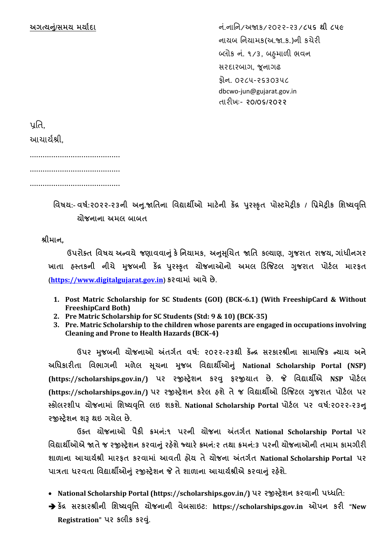**અગત્યન/ું સમય મયયાદય** ન ં.નાનન/અજાક/૨૦૨૨-૨૩/**૮૫૬ થી ૮૫૯** નાયબ નનયામક(અ.જા.ક.)ની કચેરી બ્લોક નં. ૧/૩, બહમાળી ભવન સરદારબાગ, જૂનાગઢ ફોન. ૦૨૮૫-૨૬૩૦૩૫૮ dbcwo-jun@gujarat.gov.in તારીખઃ- **૨૦/૦૬/૨૦૨૨**

પતિ.

આચાયયશ્રી,

..........................................

..........................................

..........................................

**વિષય:- િષા:૨૦૨૨-૨૩ની અન. જાવિનય વિદ્યયથીઓ મયટેની કેંદ્ર પર સ્કૃિ પોસ્ટમેટ્રીક / વિમેટ્રીક વિષ્યવવૃિ યોજનયનય અમલ બયબિ**

**શ્રીમયન,**

**ઉપરોક્િ વિષય અન્િયેજણયિિયનું કેવનયયમક, અનસ ચૂિિ જાવિ કલ્યયણ, ગજ રયિ રયજય, ગયુંધીનગર ખયિય હસ્િકની નીિે મજ બની કેંદ્ર પર સ્કૃિ યોજનયઓનો અમલ ડિજજટલ ગજ રયિ પોટાલ મયરફિ ([https://www.digitalgujarat.gov.in](https://www.digitalgujarat.gov.in/)) કરિયમયું આિેછે.**

- **1. Post Matric Scholarship for SC Students (GOI) (BCK-6.1) (With FreeshipCard & Without FreeshipCard Both)**
- **2. Pre Matric Scholarship for SC Students (Std: 9 & 10) (BCK-35)**
- **3. Pre. Matric Scholarship to the children whose parents are engaged in occupations involving Cleaning and Prone to Health Hazards (BCK-4)**

**ઉપર મજ બની યોજનયઓ અંિગાિ િષા: ૨૦૨૨-૨૩થી કેંન્દ્ર સરકયરશ્રીનય સયમયજજક ન્યયય અને અવધકયરીિય વિભયગની મળેલ સિૂ નય મજ બ વિદ્યયથીઓનું National Scholarship Portal (NSP) (https://scholarships.gov.in/) પર રજીસ્ટ્રેિન કરવ ફરજીયયિ છે. જે વિદ્યયથીએ NSP પોટાલ (https://scholarships.gov.in/) પર રજીસ્ટ્રેિન કરેલ હિેિેજ વિદ્યયથીઓ ડિજજટલ ગજ રયિ પોટાલ પર સ્કોલરિીપ યોજનયમયું વિષ્યવવૃિ લઇ િકિે. National Scholarship Portal પોટાલ પર િષા:૨૦૨૨-૨૩ન રજીસ્ટ્રેિન િરૂ થઇ ગયેલ છે.**

**ઉક્િ યોજનયઓ પૈકી ક્રમન:ું૧ પરની યોજનય અંિગાિ National Scholarship Portal પર વિદ્યયથીઓએ જાિેજ રજીસ્ટ્રેિન કરિયનું રહિે ેજ્યયરેક્ર્મન:ું૨ િથય ક્રમનું:૩ પરની યોજનયઓની િમયમ કયમગીરી િયળયનય આિયયાશ્રી મયરફિ કરિયમયું આિિી હોય િેયોજનય અંિગાિ National Scholarship Portal પર પયત્રિય ધરિિય વિદ્યયથીઓનું રજીસ્ટ્રેિન જે િેિયળયનય આિયયાશ્રીએ કરિયનું રહિે ે.**

**National Scholarship Portal (https://scholarships.gov.in/) પર રજીસ્ટ્રેિન કરિયની પધ્ધવિ:**

 **કેંદ્ર સરકયરશ્રીની વિષ્યવવૃિ યોજનયની િેબસયઇટ: https://scholarships.gov.in ઓપન કરી "New Registration" પર કલીક કરવ.ું**